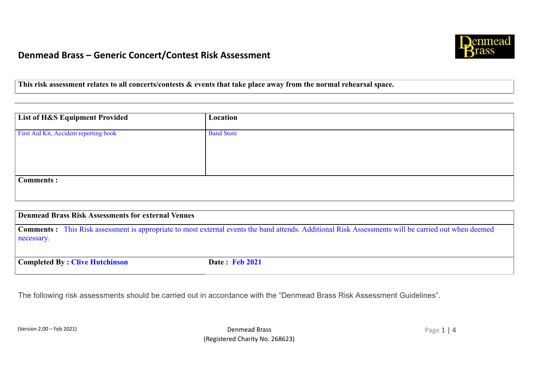

**This risk assessment relates to all concerts/contests & events that take place away from the normal rehearsal space.** 

| <b>List of H&amp;S Equipment Provided</b> | Location          |
|-------------------------------------------|-------------------|
| First Aid Kit, Accident reporting book    | <b>Band Store</b> |
|                                           |                   |
|                                           |                   |
| <b>Comments:</b>                          |                   |

| Denmead Brass Risk Assessments for external Venues |                                                                                                                                                      |
|----------------------------------------------------|------------------------------------------------------------------------------------------------------------------------------------------------------|
| necessary.                                         | Comments : This Risk assessment is appropriate to most external events the band attends. Additional Risk Assessments will be carried out when deemed |
| <b>Completed By: Clive Hutchinson</b>              | <b>Date: Feb 2021</b>                                                                                                                                |

The following risk assessments should be carried out in accordance with the "Denmead Brass Risk Assessment Guidelines".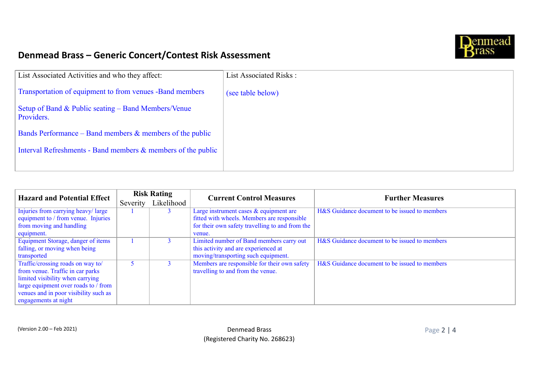

| List Associated Activities and who they affect:                   | List Associated Risks: |
|-------------------------------------------------------------------|------------------------|
| Transportation of equipment to from venues -Band members          | (see table below)      |
| Setup of Band & Public seating – Band Members/Venue<br>Providers. |                        |
| Bands Performance – Band members $\&$ members of the public       |                        |
| Interval Refreshments - Band members & members of the public      |                        |
|                                                                   |                        |

| <b>Hazard and Potential Effect</b>    | <b>Risk Rating</b> |            | <b>Current Control Measures</b>                 | <b>Further Measures</b>                       |
|---------------------------------------|--------------------|------------|-------------------------------------------------|-----------------------------------------------|
|                                       | Severity           | Likelihood |                                                 |                                               |
| Injuries from carrying heavy/large    |                    |            | Large instrument cases & equipment are          | H&S Guidance document to be issued to members |
| equipment to / from venue. Injuries   |                    |            | fitted with wheels. Members are responsible     |                                               |
| from moving and handling              |                    |            | for their own safety travelling to and from the |                                               |
| equipment.                            |                    |            | venue.                                          |                                               |
| Equipment Storage, danger of items    |                    |            | Limited number of Band members carry out        | H&S Guidance document to be issued to members |
| falling, or moving when being         |                    |            | this activity and are experienced at            |                                               |
| transported                           |                    |            | moving/transporting such equipment.             |                                               |
| Traffic/crossing roads on way to/     |                    |            | Members are responsible for their own safety    | H&S Guidance document to be issued to members |
| from venue. Traffic in car parks      |                    |            | travelling to and from the venue.               |                                               |
| limited visibility when carrying      |                    |            |                                                 |                                               |
| large equipment over roads to / from  |                    |            |                                                 |                                               |
| venues and in poor visibility such as |                    |            |                                                 |                                               |
| engagements at night                  |                    |            |                                                 |                                               |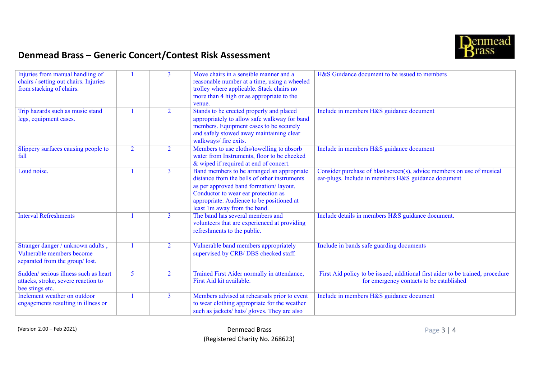

| Injuries from manual handling of<br>chairs / setting out chairs. Injuries<br>from stacking of chairs. |                | $\overline{3}$ | Move chairs in a sensible manner and a<br>reasonable number at a time, using a wheeled<br>trolley where applicable. Stack chairs no<br>more than 4 high or as appropriate to the<br>venue.                                                               | H&S Guidance document to be issued to members                                                                                 |
|-------------------------------------------------------------------------------------------------------|----------------|----------------|----------------------------------------------------------------------------------------------------------------------------------------------------------------------------------------------------------------------------------------------------------|-------------------------------------------------------------------------------------------------------------------------------|
| Trip hazards such as music stand<br>legs, equipment cases.                                            |                | $\overline{2}$ | Stands to be erected properly and placed<br>appropriately to allow safe walkway for band<br>members. Equipment cases to be securely<br>and safely stowed away maintaining clear<br>walkways/ fire exits.                                                 | Include in members H&S guidance document                                                                                      |
| Slippery surfaces causing people to<br>fall                                                           | $\overline{2}$ | $\overline{2}$ | Members to use cloths/towelling to absorb<br>water from Instruments, floor to be checked<br>& wiped if required at end of concert.                                                                                                                       | Include in members H&S guidance document                                                                                      |
| Loud noise.                                                                                           |                | $\mathbf{3}$   | Band members to be arranged an appropriate<br>distance from the bells of other instruments<br>as per approved band formation/layout.<br>Conductor to wear ear protection as<br>appropriate. Audience to be positioned at<br>least 1m away from the band. | Consider purchase of blast screen(s), advice members on use of musical<br>ear-plugs. Include in members H&S guidance document |
| <b>Interval Refreshments</b>                                                                          |                | 3              | The band has several members and<br>volunteers that are experienced at providing<br>refreshments to the public.                                                                                                                                          | Include details in members H&S guidance document.                                                                             |
| Stranger danger / unknown adults,<br>Vulnerable members become<br>separated from the group/lost.      |                | $\overline{2}$ | Vulnerable band members appropriately<br>supervised by CRB/DBS checked staff.                                                                                                                                                                            | <b>Include in bands safe guarding documents</b>                                                                               |
| Sudden/ serious illness such as heart<br>attacks, stroke, severe reaction to<br>bee stings etc.       | $\overline{5}$ | $\overline{2}$ | Trained First Aider normally in attendance,<br>First Aid kit available.                                                                                                                                                                                  | First Aid policy to be issued, additional first aider to be trained, procedure<br>for emergency contacts to be established    |
| Inclement weather on outdoor<br>engagements resulting in illness or                                   |                | $\mathbf{3}$   | Members advised at rehearsals prior to event<br>to wear clothing appropriate for the weather<br>such as jackets/ hats/ gloves. They are also                                                                                                             | Include in members H&S guidance document                                                                                      |